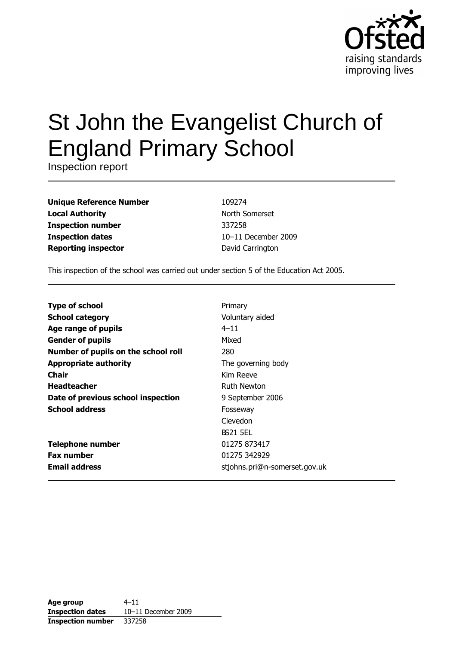

# St John the Evangelist Church of **England Primary School**

Inspection report

| <b>Unique Reference Number</b> |
|--------------------------------|
| <b>Local Authority</b>         |
| <b>Inspection number</b>       |
| <b>Inspection dates</b>        |
| <b>Reporting inspector</b>     |

109274 North Somerset 337258 10-11 December 2009 David Carrington

This inspection of the school was carried out under section 5 of the Education Act 2005.

| <b>Type of school</b>               | Primary                       |
|-------------------------------------|-------------------------------|
| <b>School category</b>              | Voluntary aided               |
| Age range of pupils                 | $4 - 11$                      |
| <b>Gender of pupils</b>             | Mixed                         |
| Number of pupils on the school roll | 280                           |
| <b>Appropriate authority</b>        | The governing body            |
| <b>Chair</b>                        | Kim Reeve                     |
| <b>Headteacher</b>                  | Ruth Newton                   |
| Date of previous school inspection  | 9 September 2006              |
| <b>School address</b>               | Fosseway                      |
|                                     | Clevedon                      |
|                                     | <b>BS21 5EL</b>               |
| <b>Telephone number</b>             | 01275 873417                  |
| <b>Fax number</b>                   | 01275 342929                  |
| <b>Email address</b>                | stjohns.pri@n-somerset.gov.uk |

| Age group                | $4 - 11$            |
|--------------------------|---------------------|
| <b>Inspection dates</b>  | 10-11 December 2009 |
| <b>Inspection number</b> | 337258              |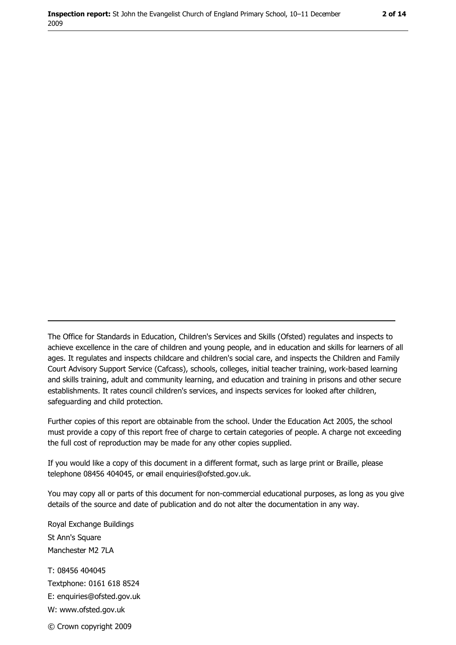The Office for Standards in Education, Children's Services and Skills (Ofsted) regulates and inspects to achieve excellence in the care of children and young people, and in education and skills for learners of all ages. It regulates and inspects childcare and children's social care, and inspects the Children and Family Court Advisory Support Service (Cafcass), schools, colleges, initial teacher training, work-based learning and skills training, adult and community learning, and education and training in prisons and other secure establishments. It rates council children's services, and inspects services for looked after children, safequarding and child protection.

Further copies of this report are obtainable from the school. Under the Education Act 2005, the school must provide a copy of this report free of charge to certain categories of people. A charge not exceeding the full cost of reproduction may be made for any other copies supplied.

If you would like a copy of this document in a different format, such as large print or Braille, please telephone 08456 404045, or email enquiries@ofsted.gov.uk.

You may copy all or parts of this document for non-commercial educational purposes, as long as you give details of the source and date of publication and do not alter the documentation in any way.

Royal Exchange Buildings St Ann's Square Manchester M2 7LA T: 08456 404045 Textphone: 0161 618 8524 E: enquiries@ofsted.gov.uk W: www.ofsted.gov.uk © Crown copyright 2009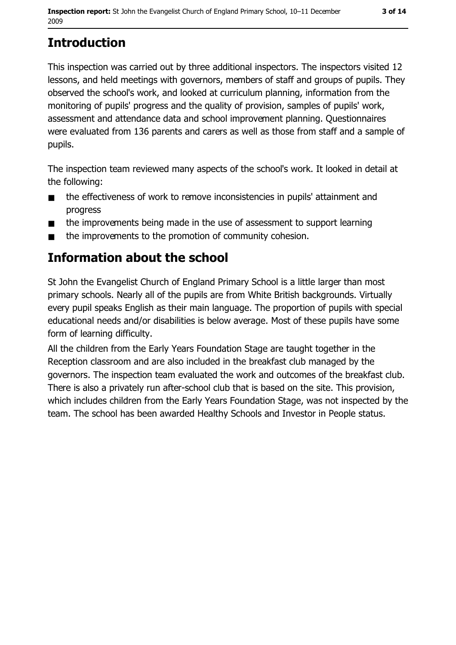# **Introduction**

This inspection was carried out by three additional inspectors. The inspectors visited 12 lessons, and held meetings with governors, members of staff and groups of pupils. They observed the school's work, and looked at curriculum planning, information from the monitoring of pupils' progress and the quality of provision, samples of pupils' work, assessment and attendance data and school improvement planning. Questionnaires were evaluated from 136 parents and carers as well as those from staff and a sample of pupils.

The inspection team reviewed many aspects of the school's work. It looked in detail at the following:

- the effectiveness of work to remove inconsistencies in pupils' attainment and  $\blacksquare$ progress
- the improvements being made in the use of assessment to support learning  $\blacksquare$
- the improvements to the promotion of community cohesion.  $\blacksquare$

## Information about the school

St John the Evangelist Church of England Primary School is a little larger than most primary schools. Nearly all of the pupils are from White British backgrounds. Virtually every pupil speaks English as their main language. The proportion of pupils with special educational needs and/or disabilities is below average. Most of these pupils have some form of learning difficulty.

All the children from the Early Years Foundation Stage are taught together in the Reception classroom and are also included in the breakfast club managed by the governors. The inspection team evaluated the work and outcomes of the breakfast club. There is also a privately run after-school club that is based on the site. This provision, which includes children from the Early Years Foundation Stage, was not inspected by the team. The school has been awarded Healthy Schools and Investor in People status.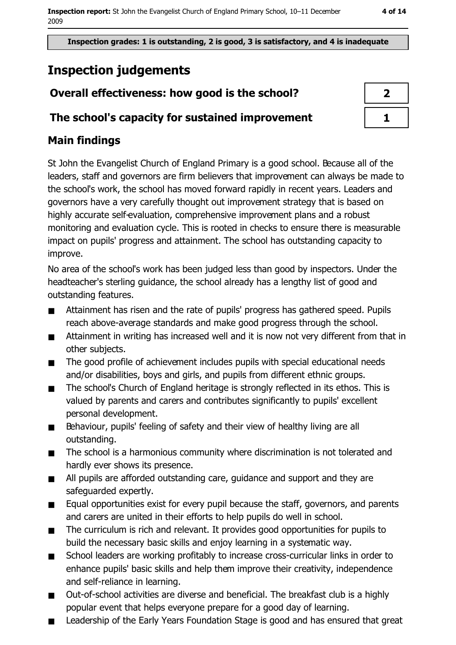Inspection grades: 1 is outstanding, 2 is good, 3 is satisfactory, and 4 is inadequate

# **Inspection judgements**

## Overall effectiveness: how good is the school?

### The school's capacity for sustained improvement

## **Main findings**

St John the Evangelist Church of England Primary is a good school. Because all of the leaders, staff and governors are firm believers that improvement can always be made to the school's work, the school has moved forward rapidly in recent years. Leaders and governors have a very carefully thought out improvement strategy that is based on highly accurate self-evaluation, comprehensive improvement plans and a robust monitoring and evaluation cycle. This is rooted in checks to ensure there is measurable impact on pupils' progress and attainment. The school has outstanding capacity to improve.

No area of the school's work has been judged less than good by inspectors. Under the headteacher's sterling quidance, the school already has a lengthy list of good and outstanding features.

- Attainment has risen and the rate of pupils' progress has gathered speed. Pupils  $\blacksquare$ reach above-average standards and make good progress through the school.
- Attainment in writing has increased well and it is now not very different from that in  $\blacksquare$ other subjects.
- The good profile of achievement includes pupils with special educational needs  $\blacksquare$ and/or disabilities, boys and girls, and pupils from different ethnic groups.
- The school's Church of England heritage is strongly reflected in its ethos. This is  $\blacksquare$ valued by parents and carers and contributes significantly to pupils' excellent personal development.
- Behaviour, pupils' feeling of safety and their view of healthy living are all  $\blacksquare$ outstanding.
- The school is a harmonious community where discrimination is not tolerated and  $\blacksquare$ hardly ever shows its presence.
- All pupils are afforded outstanding care, guidance and support and they are  $\blacksquare$ safequarded expertly.
- Equal opportunities exist for every pupil because the staff, governors, and parents  $\blacksquare$ and carers are united in their efforts to help pupils do well in school.
- The curriculum is rich and relevant. It provides good opportunities for pupils to  $\blacksquare$ build the necessary basic skills and enjoy learning in a systematic way.
- School leaders are working profitably to increase cross-curricular links in order to  $\blacksquare$ enhance pupils' basic skills and help them improve their creativity, independence and self-reliance in learning.
- Out-of-school activities are diverse and beneficial. The breakfast club is a highly  $\blacksquare$ popular event that helps everyone prepare for a good day of learning.
- Leadership of the Early Years Foundation Stage is good and has ensured that great  $\blacksquare$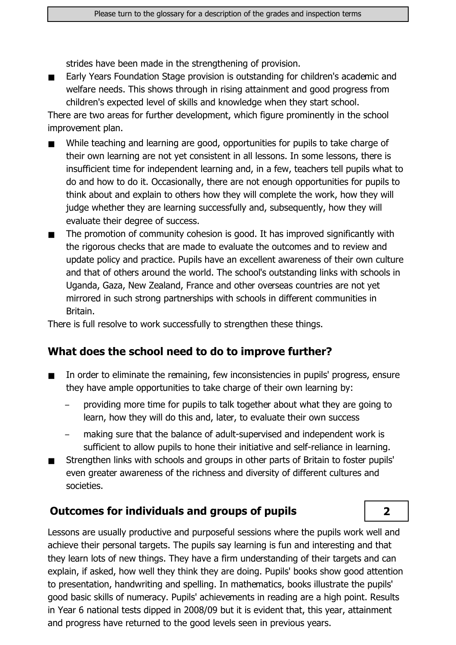strides have been made in the strengthening of provision.

Early Years Foundation Stage provision is outstanding for children's academic and  $\blacksquare$ welfare needs. This shows through in rising attainment and good progress from children's expected level of skills and knowledge when they start school.

There are two areas for further development, which figure prominently in the school improvement plan.

- While teaching and learning are good, opportunities for pupils to take charge of  $\blacksquare$ their own learning are not yet consistent in all lessons. In some lessons, there is insufficient time for independent learning and, in a few, teachers tell pupils what to do and how to do it. Occasionally, there are not enough opportunities for pupils to think about and explain to others how they will complete the work, how they will judge whether they are learning successfully and, subsequently, how they will evaluate their degree of success.
- The promotion of community cohesion is good. It has improved significantly with  $\blacksquare$ the rigorous checks that are made to evaluate the outcomes and to review and update policy and practice. Pupils have an excellent awareness of their own culture and that of others around the world. The school's outstanding links with schools in Uganda, Gaza, New Zealand, France and other overseas countries are not yet mirrored in such strong partnerships with schools in different communities in Britain.

There is full resolve to work successfully to strengthen these things.

#### What does the school need to do to improve further?

- In order to eliminate the remaining, few inconsistencies in pupils' progress, ensure they have ample opportunities to take charge of their own learning by:
	- providing more time for pupils to talk together about what they are going to learn, how they will do this and, later, to evaluate their own success
	- making sure that the balance of adult-supervised and independent work is sufficient to allow pupils to hone their initiative and self-reliance in learning.

 $\overline{2}$ 

Strengthen links with schools and groups in other parts of Britain to foster pupils'  $\blacksquare$ even greater awareness of the richness and diversity of different cultures and societies.

#### **Outcomes for individuals and groups of pupils**

Lessons are usually productive and purposeful sessions where the pupils work well and achieve their personal targets. The pupils say learning is fun and interesting and that they learn lots of new things. They have a firm understanding of their targets and can explain, if asked, how well they think they are doing. Pupils' books show good attention to presentation, handwriting and spelling. In mathematics, books illustrate the pupils' good basic skills of numeracy. Pupils' achievements in reading are a high point. Results in Year 6 national tests dipped in 2008/09 but it is evident that, this year, attainment and progress have returned to the good levels seen in previous years.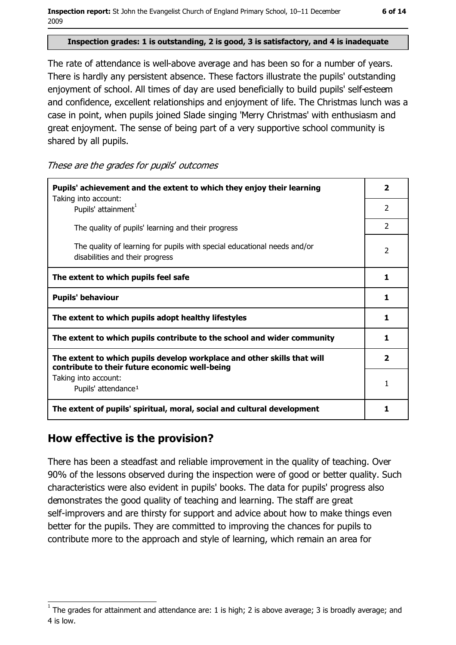Inspection report: St John the Evangelist Church of England Primary School, 10-11 December 2009

#### Inspection grades: 1 is outstanding, 2 is good, 3 is satisfactory, and 4 is inadequate

The rate of attendance is well-above average and has been so for a number of years. There is hardly any persistent absence. These factors illustrate the pupils' outstanding enjoyment of school. All times of day are used beneficially to build pupils' self-esteem and confidence, excellent relationships and enjoyment of life. The Christmas lunch was a case in point, when pupils joined Slade singing 'Merry Christmas' with enthusiasm and great enjoyment. The sense of being part of a very supportive school community is shared by all pupils.

These are the grades for pupils' outcomes

| Pupils' achievement and the extent to which they enjoy their learning                                                     |                |
|---------------------------------------------------------------------------------------------------------------------------|----------------|
| Taking into account:<br>Pupils' attainment <sup>1</sup>                                                                   | $\mathcal{P}$  |
| The quality of pupils' learning and their progress                                                                        | $\mathcal{P}$  |
| The quality of learning for pupils with special educational needs and/or<br>disabilities and their progress               | 2              |
| The extent to which pupils feel safe                                                                                      | 1              |
| <b>Pupils' behaviour</b>                                                                                                  | 1              |
| The extent to which pupils adopt healthy lifestyles                                                                       | 1              |
| The extent to which pupils contribute to the school and wider community                                                   | 1              |
| The extent to which pupils develop workplace and other skills that will<br>contribute to their future economic well-being | $\overline{2}$ |
| Taking into account:<br>Pupils' attendance <sup>1</sup>                                                                   | 1              |
| The extent of pupils' spiritual, moral, social and cultural development                                                   | 1              |

#### How effective is the provision?

There has been a steadfast and reliable improvement in the quality of teaching. Over 90% of the lessons observed during the inspection were of good or better quality. Such characteristics were also evident in pupils' books. The data for pupils' progress also demonstrates the good quality of teaching and learning. The staff are great self-improvers and are thirsty for support and advice about how to make things even better for the pupils. They are committed to improving the chances for pupils to contribute more to the approach and style of learning, which remain an area for

The grades for attainment and attendance are: 1 is high; 2 is above average; 3 is broadly average; and 4 is low.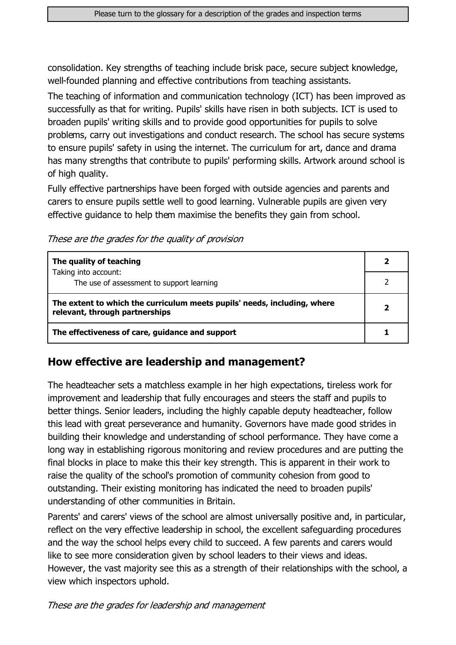consolidation. Key strengths of teaching include brisk pace, secure subject knowledge, well-founded planning and effective contributions from teaching assistants.

The teaching of information and communication technology (ICT) has been improved as successfully as that for writing. Pupils' skills have risen in both subjects. ICT is used to broaden pupils' writing skills and to provide good opportunities for pupils to solve problems, carry out investigations and conduct research. The school has secure systems to ensure pupils' safety in using the internet. The curriculum for art, dance and drama has many strengths that contribute to pupils' performing skills. Artwork around school is of high quality.

Fully effective partnerships have been forged with outside agencies and parents and carers to ensure pupils settle well to good learning. Vulnerable pupils are given very effective quidance to help them maximise the benefits they gain from school.

These are the grades for the quality of provision

| The quality of teaching                                                                                    |  |
|------------------------------------------------------------------------------------------------------------|--|
| Taking into account:<br>The use of assessment to support learning                                          |  |
| The extent to which the curriculum meets pupils' needs, including, where<br>relevant, through partnerships |  |
| The effectiveness of care, guidance and support                                                            |  |

#### How effective are leadership and management?

The headteacher sets a matchless example in her high expectations, tireless work for improvement and leadership that fully encourages and steers the staff and pupils to better things. Senior leaders, including the highly capable deputy headteacher, follow this lead with great perseverance and humanity. Governors have made good strides in building their knowledge and understanding of school performance. They have come a long way in establishing rigorous monitoring and review procedures and are putting the final blocks in place to make this their key strength. This is apparent in their work to raise the quality of the school's promotion of community cohesion from good to outstanding. Their existing monitoring has indicated the need to broaden pupils' understanding of other communities in Britain.

Parents' and carers' views of the school are almost universally positive and, in particular, reflect on the very effective leadership in school, the excellent safeguarding procedures and the way the school helps every child to succeed. A few parents and carers would like to see more consideration given by school leaders to their views and ideas. However, the vast majority see this as a strength of their relationships with the school, a view which inspectors uphold.

These are the grades for leadership and management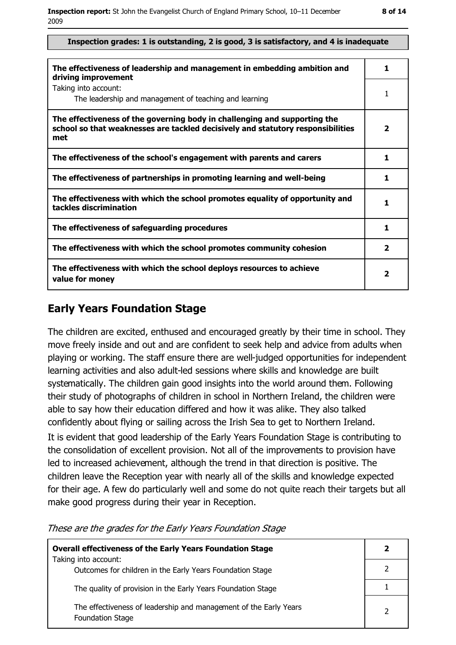#### Inspection grades: 1 is outstanding, 2 is good, 3 is satisfactory, and 4 is inadequate

| The effectiveness of leadership and management in embedding ambition and<br>driving improvement                                                                     | 1                       |
|---------------------------------------------------------------------------------------------------------------------------------------------------------------------|-------------------------|
| Taking into account:<br>The leadership and management of teaching and learning                                                                                      |                         |
| The effectiveness of the governing body in challenging and supporting the<br>school so that weaknesses are tackled decisively and statutory responsibilities<br>met | $\overline{\mathbf{2}}$ |
| The effectiveness of the school's engagement with parents and carers                                                                                                | 1                       |
| The effectiveness of partnerships in promoting learning and well-being                                                                                              | 1                       |
| The effectiveness with which the school promotes equality of opportunity and<br>tackles discrimination                                                              | 1                       |
| The effectiveness of safeguarding procedures                                                                                                                        | 1                       |
| The effectiveness with which the school promotes community cohesion                                                                                                 | $\mathbf{2}$            |
| The effectiveness with which the school deploys resources to achieve<br>value for money                                                                             | 2                       |

#### **Early Years Foundation Stage**

The children are excited, enthused and encouraged greatly by their time in school. They move freely inside and out and are confident to seek help and advice from adults when plaving or working. The staff ensure there are well-judged opportunities for independent learning activities and also adult-led sessions where skills and knowledge are built systematically. The children gain good insights into the world around them. Following their study of photographs of children in school in Northern Ireland, the children were able to say how their education differed and how it was alike. They also talked confidently about flying or sailing across the Irish Sea to get to Northern Ireland. It is evident that good leadership of the Early Years Foundation Stage is contributing to the consolidation of excellent provision. Not all of the improvements to provision have led to increased achievement, although the trend in that direction is positive. The children leave the Reception year with nearly all of the skills and knowledge expected for their age. A few do particularly well and some do not quite reach their targets but all make good progress during their year in Reception.

These are the grades for the Early Years Foundation Stage

| <b>Overall effectiveness of the Early Years Foundation Stage</b>                             |  |
|----------------------------------------------------------------------------------------------|--|
| Taking into account:<br>Outcomes for children in the Early Years Foundation Stage            |  |
| The quality of provision in the Early Years Foundation Stage                                 |  |
| The effectiveness of leadership and management of the Early Years<br><b>Foundation Stage</b> |  |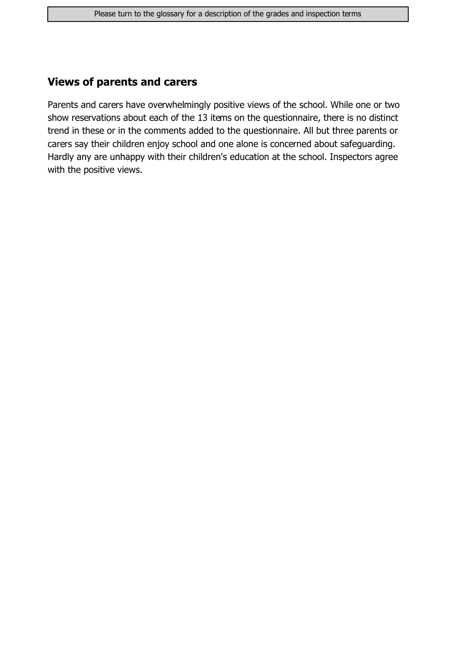#### **Views of parents and carers**

Parents and carers have overwhelmingly positive views of the school. While one or two show reservations about each of the 13 items on the questionnaire, there is no distinct trend in these or in the comments added to the questionnaire. All but three parents or carers say their children enjoy school and one alone is concerned about safeguarding. Hardly any are unhappy with their children's education at the school. Inspectors agree with the positive views.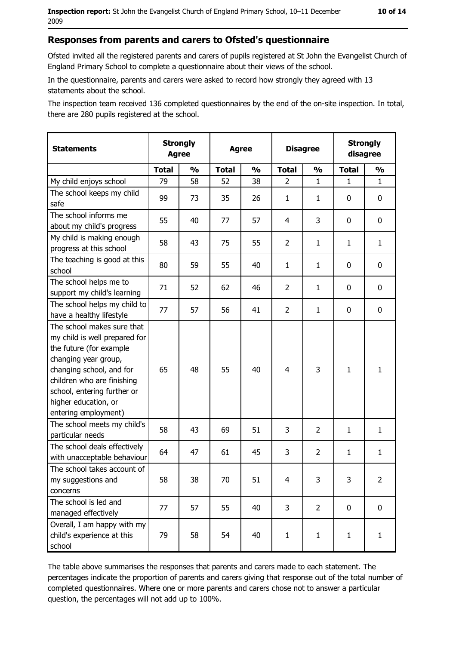Ofsted invited all the registered parents and carers of pupils registered at St John the Evangelist Church of England Primary School to complete a questionnaire about their views of the school.

In the questionnaire, parents and carers were asked to record how strongly they agreed with 13 statements about the school.

The inspection team received 136 completed questionnaires by the end of the on-site inspection. In total, there are 280 pupils registered at the school.

| <b>Statements</b>                                                                                                                                                                                                                                       | <b>Strongly</b><br><b>Agree</b> |               | <b>Agree</b> |               | <b>Disagree</b> |                | <b>Strongly</b><br>disagree |                |
|---------------------------------------------------------------------------------------------------------------------------------------------------------------------------------------------------------------------------------------------------------|---------------------------------|---------------|--------------|---------------|-----------------|----------------|-----------------------------|----------------|
|                                                                                                                                                                                                                                                         | <b>Total</b>                    | $\frac{1}{2}$ | <b>Total</b> | $\frac{0}{0}$ | <b>Total</b>    | $\frac{0}{0}$  | <b>Total</b>                | $\frac{1}{2}$  |
| My child enjoys school                                                                                                                                                                                                                                  | 79                              | 58            | 52           | 38            | $\overline{2}$  | $\mathbf 1$    | $\mathbf{1}$                | $\mathbf{1}$   |
| The school keeps my child<br>safe                                                                                                                                                                                                                       | 99                              | 73            | 35           | 26            | $\mathbf{1}$    | 1              | 0                           | $\mathbf 0$    |
| The school informs me<br>about my child's progress                                                                                                                                                                                                      | 55                              | 40            | 77           | 57            | 4               | 3              | 0                           | 0              |
| My child is making enough<br>progress at this school                                                                                                                                                                                                    | 58                              | 43            | 75           | 55            | $\overline{2}$  | 1              | 1                           | $\mathbf{1}$   |
| The teaching is good at this<br>school                                                                                                                                                                                                                  | 80                              | 59            | 55           | 40            | $\mathbf{1}$    | $\mathbf{1}$   | 0                           | 0              |
| The school helps me to<br>support my child's learning                                                                                                                                                                                                   | 71                              | 52            | 62           | 46            | $\overline{2}$  | $\mathbf{1}$   | 0                           | $\mathbf 0$    |
| The school helps my child to<br>have a healthy lifestyle                                                                                                                                                                                                | 77                              | 57            | 56           | 41            | $\overline{2}$  | $\mathbf{1}$   | 0                           | $\mathbf 0$    |
| The school makes sure that<br>my child is well prepared for<br>the future (for example<br>changing year group,<br>changing school, and for<br>children who are finishing<br>school, entering further or<br>higher education, or<br>entering employment) | 65                              | 48            | 55           | 40            | $\overline{4}$  | 3              | 1                           | $\mathbf{1}$   |
| The school meets my child's<br>particular needs                                                                                                                                                                                                         | 58                              | 43            | 69           | 51            | 3               | 2              | $\mathbf{1}$                | $\mathbf{1}$   |
| The school deals effectively<br>with unacceptable behaviour                                                                                                                                                                                             | 64                              | 47            | 61           | 45            | 3               | $\overline{2}$ | $\mathbf{1}$                | $\mathbf{1}$   |
| The school takes account of<br>my suggestions and<br>concerns                                                                                                                                                                                           | 58                              | 38            | 70           | 51            | $\overline{4}$  | 3              | 3                           | $\overline{2}$ |
| The school is led and<br>managed effectively                                                                                                                                                                                                            | 77                              | 57            | 55           | 40            | 3               | $\overline{2}$ | $\mathbf 0$                 | $\mathbf 0$    |
| Overall, I am happy with my<br>child's experience at this<br>school                                                                                                                                                                                     | 79                              | 58            | 54           | 40            | $\mathbf{1}$    | $\mathbf{1}$   | $\mathbf{1}$                | $\mathbf{1}$   |

The table above summarises the responses that parents and carers made to each statement. The percentages indicate the proportion of parents and carers giving that response out of the total number of completed questionnaires. Where one or more parents and carers chose not to answer a particular question, the percentages will not add up to 100%.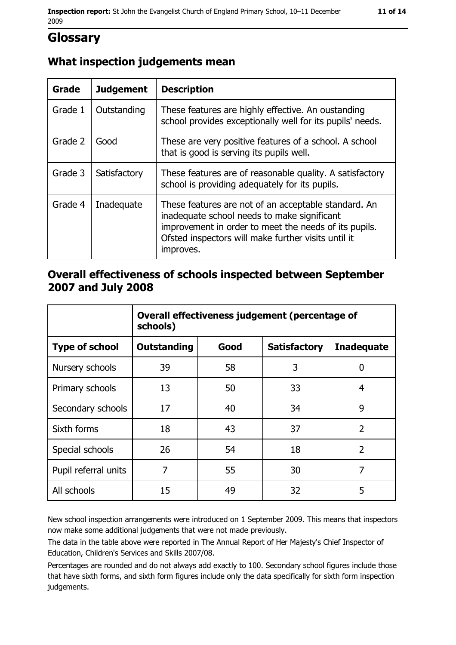# **Glossary**

## What inspection judgements mean

| Grade   | <b>Judgement</b> | <b>Description</b>                                                                                                                                                                                                               |
|---------|------------------|----------------------------------------------------------------------------------------------------------------------------------------------------------------------------------------------------------------------------------|
| Grade 1 | Outstanding      | These features are highly effective. An oustanding<br>school provides exceptionally well for its pupils' needs.                                                                                                                  |
| Grade 2 | Good             | These are very positive features of a school. A school<br>that is good is serving its pupils well.                                                                                                                               |
| Grade 3 | Satisfactory     | These features are of reasonable quality. A satisfactory<br>school is providing adequately for its pupils.                                                                                                                       |
| Grade 4 | Inadequate       | These features are not of an acceptable standard. An<br>inadequate school needs to make significant<br>improvement in order to meet the needs of its pupils.<br>Ofsted inspectors will make further visits until it<br>improves. |

#### Overall effectiveness of schools inspected between September 2007 and July 2008

|                       | Overall effectiveness judgement (percentage of<br>schools) |      |                     |                   |
|-----------------------|------------------------------------------------------------|------|---------------------|-------------------|
| <b>Type of school</b> | Outstanding                                                | Good | <b>Satisfactory</b> | <b>Inadequate</b> |
| Nursery schools       | 39                                                         | 58   | 3                   | 0                 |
| Primary schools       | 13                                                         | 50   | 33                  | 4                 |
| Secondary schools     | 17                                                         | 40   | 34                  | 9                 |
| Sixth forms           | 18                                                         | 43   | 37                  | $\overline{2}$    |
| Special schools       | 26                                                         | 54   | 18                  | $\overline{2}$    |
| Pupil referral units  | 7                                                          | 55   | 30                  | 7                 |
| All schools           | 15                                                         | 49   | 32                  | 5                 |

New school inspection arrangements were introduced on 1 September 2009. This means that inspectors now make some additional judgements that were not made previously.

The data in the table above were reported in The Annual Report of Her Majesty's Chief Inspector of Education, Children's Services and Skills 2007/08.

Percentages are rounded and do not always add exactly to 100. Secondary school figures include those that have sixth forms, and sixth form figures include only the data specifically for sixth form inspection judgements.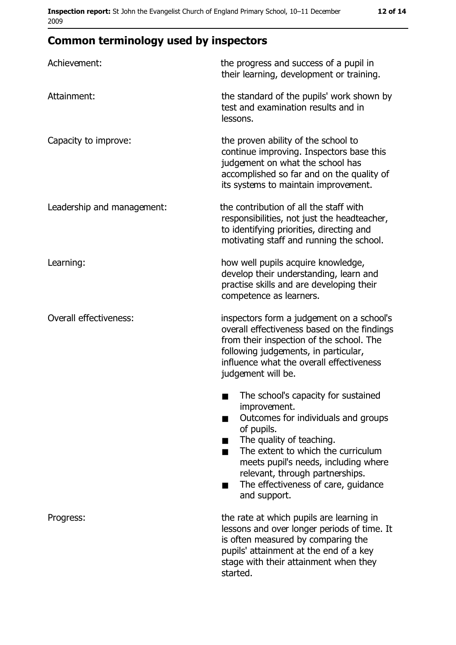## **Common terminology used by inspectors**

| Achievement:                  | the progress and success of a pupil in<br>their learning, development or training.                                                                                                                                                                                                                           |
|-------------------------------|--------------------------------------------------------------------------------------------------------------------------------------------------------------------------------------------------------------------------------------------------------------------------------------------------------------|
| Attainment:                   | the standard of the pupils' work shown by<br>test and examination results and in<br>lessons.                                                                                                                                                                                                                 |
| Capacity to improve:          | the proven ability of the school to<br>continue improving. Inspectors base this<br>judgement on what the school has<br>accomplished so far and on the quality of<br>its systems to maintain improvement.                                                                                                     |
| Leadership and management:    | the contribution of all the staff with<br>responsibilities, not just the headteacher,<br>to identifying priorities, directing and<br>motivating staff and running the school.                                                                                                                                |
| Learning:                     | how well pupils acquire knowledge,<br>develop their understanding, learn and<br>practise skills and are developing their<br>competence as learners.                                                                                                                                                          |
| <b>Overall effectiveness:</b> | inspectors form a judgement on a school's<br>overall effectiveness based on the findings<br>from their inspection of the school. The<br>following judgements, in particular,<br>influence what the overall effectiveness<br>judgement will be.                                                               |
|                               | The school's capacity for sustained<br>improvement.<br>Outcomes for individuals and groups<br>of pupils.<br>The quality of teaching.<br>The extent to which the curriculum<br>meets pupil's needs, including where<br>relevant, through partnerships.<br>The effectiveness of care, guidance<br>and support. |
| Progress:                     | the rate at which pupils are learning in<br>lessons and over longer periods of time. It<br>is often measured by comparing the<br>pupils' attainment at the end of a key<br>stage with their attainment when they<br>started.                                                                                 |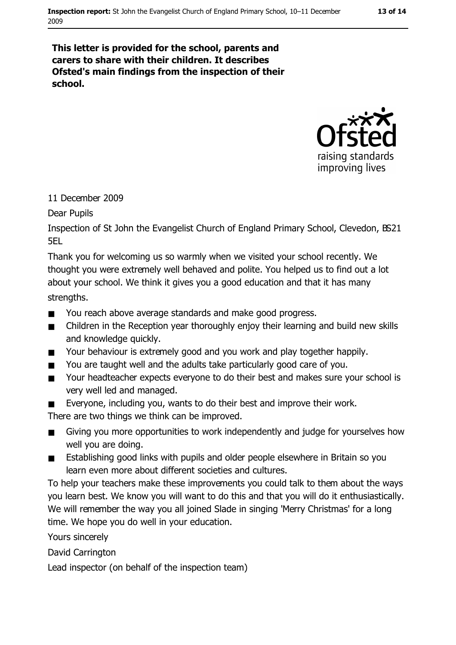#### 13 of 14

This letter is provided for the school, parents and carers to share with their children. It describes Ofsted's main findings from the inspection of their school.



#### 11 December 2009

Dear Pupils

Inspection of St John the Evangelist Church of England Primary School, Clevedon, BS21 5FI

Thank you for welcoming us so warmly when we visited your school recently. We thought you were extremely well behaved and polite. You helped us to find out a lot about your school. We think it gives you a good education and that it has many strengths.

- $\blacksquare$ You reach above average standards and make good progress.
- Children in the Reception year thoroughly enjoy their learning and build new skills  $\blacksquare$ and knowledge quickly.
- Your behaviour is extremely good and you work and play together happily.  $\blacksquare$
- You are taught well and the adults take particularly good care of you.  $\blacksquare$
- Your headteacher expects everyone to do their best and makes sure your school is  $\blacksquare$ very well led and managed.
- Everyone, including you, wants to do their best and improve their work.

There are two things we think can be improved.

- Giving you more opportunities to work independently and judge for yourselves how  $\blacksquare$ well you are doing.
- Establishing good links with pupils and older people elsewhere in Britain so you  $\blacksquare$ learn even more about different societies and cultures.

To help your teachers make these improvements you could talk to them about the ways you learn best. We know you will want to do this and that you will do it enthusiastically. We will remember the way you all joined Slade in singing 'Merry Christmas' for a long time. We hope you do well in your education.

Yours sincerely

David Carrington

Lead inspector (on behalf of the inspection team)